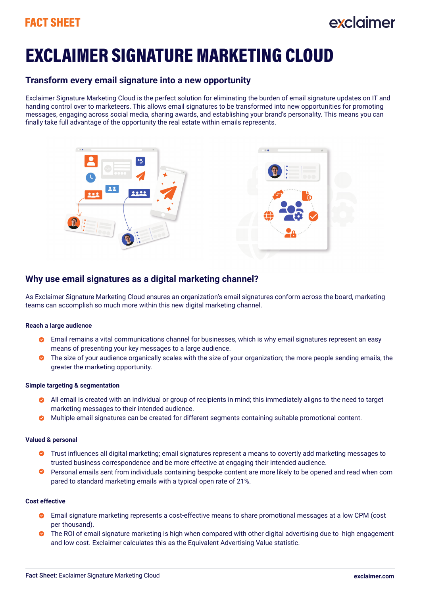## FACT SHEET

## eveloimer

# EXCLAIMER SIGNATURE MARKETING CLOUD

### **Transform every email signature into a new opportunity**

Exclaimer Signature Marketing Cloud is the perfect solution for eliminating the burden of email signature updates on IT and handing control over to marketeers. This allows email signatures to be transformed into new opportunities for promoting messages, engaging across social media, sharing awards, and establishing your brand's personality. This means you can finally take full advantage of the opportunity the real estate within emails represents.



## **Why use email signatures as a digital marketing channel?**

As Exclaimer Signature Marketing Cloud ensures an organization's email signatures conform across the board, marketing teams can accomplish so much more within this new digital marketing channel.

#### **Reach a large audience**

- Email remains a vital communications channel for businesses, which is why email signatures represent an easy means of presenting your key messages to a large audience.
- **O** The size of your audience organically scales with the size of your organization; the more people sending emails, the greater the marketing opportunity.

#### **Simple targeting & segmentation**

- All email is created with an individual or group of recipients in mind; this immediately aligns to the need to target marketing messages to their intended audience.
- **Multiple email signatures can be created for different segments containing suitable promotional content.**

#### **Valued & personal**

- Trust influences all digital marketing; email signatures represent a means to covertly add marketing messages to trusted business correspondence and be more effective at engaging their intended audience.
- Personal emails sent from individuals containing bespoke content are more likely to be opened and read when com pared to standard marketing emails with a typical open rate of 21%.

#### **Cost effective**

- Email signature marketing represents a cost-effective means to share promotional messages at a low CPM (cost per thousand).
- **O** The ROI of email signature marketing is high when compared with other digital advertising due to high engagement and low cost. Exclaimer calculates this as the Equivalent Advertising Value statistic.